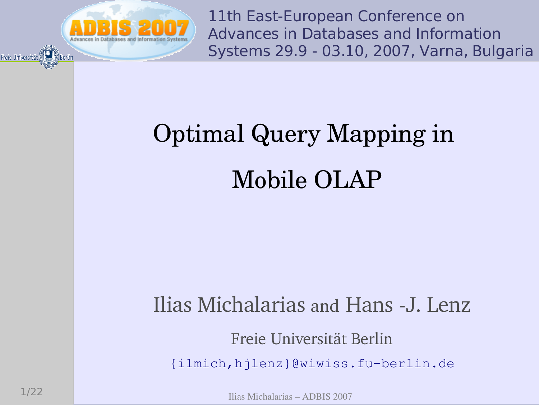

11th East-European Conference on Advances in Databases and Information Systems 29.9 - 03.10, 2007, Varna, Bulgaria

## Optimal Query Mapping in Mobile OLAP

### Ilias Michalarias and Hans -J. Lenz

### Freie Universität Berlin

{ilmich, hjlenz}@wiwiss.fu-berlin.de

Ilias Michalarias - ADBIS 2007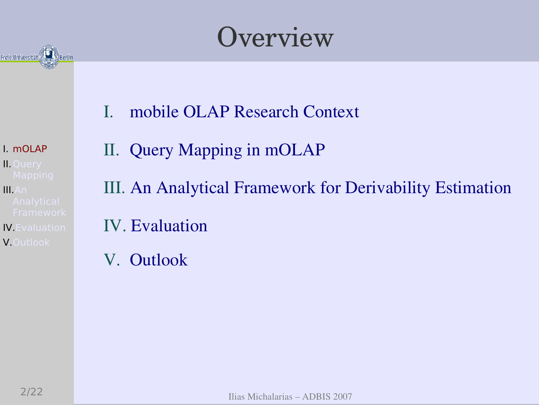

Overview

mobile OLAP Research Context  $\mathbf{I}$ .

I. mOLAP **II. Ouerv** 

 $II. An$ 

**IV.** Evaluation V.Outlook

II. Query Mapping in mOLAP III. An Analytical Framework for Derivability Estimation **IV.** Evaluation

V. Outlook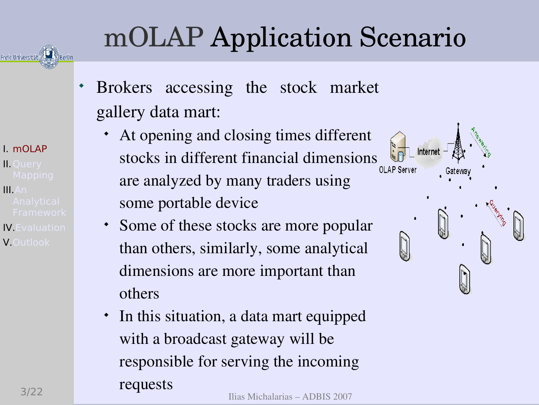## mOLAP Application Scenario

- $\ddot{\bullet}$  Brokers accessing the stock market gallery data mart:
	- $\bullet$  At opening and closing times different stocks in different financial dimensions are analyzed by many traders using some portable device
	- Some of these stocks are more popular than others, similarly, some analytical dimensions are more important than others
- $\frac{100}{100}$   $\frac{100}{100}$   $\frac{100}{100}$   $\frac{100}{100}$   $\frac{100}{100}$   $\frac{100}{100}$   $\frac{100}{100}$   $\frac{100}{100}$   $\frac{100}{100}$   $\frac{100}{100}$   $\frac{100}{100}$   $\frac{100}{100}$   $\frac{100}{100}$   $\frac{100}{100}$   $\frac{100}{100}$   $\frac{100}{100$ - In this situation, a data mart equipped with a broadcast gateway will be responsible for serving the incoming requests

### 1. mOLAP **II. Ouerv**

- $II.An$
- **IV.** Evaluation V.Outlook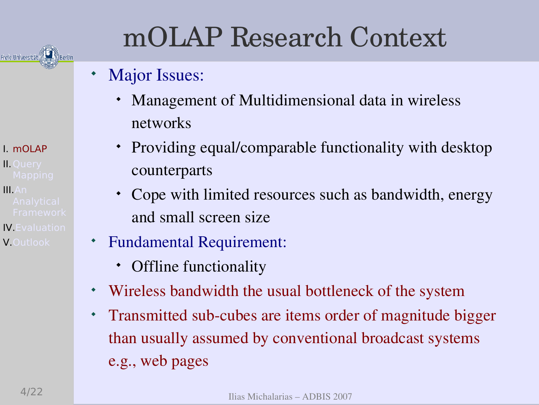## mOLAP Research Context

#### $\bullet$ Major Issues:

- $\bullet$  Management of Multidimensional data in wireless networks
- Providing equal/comparable functionality with desktop counterparts
- $\leftarrow$  Cope with limited resources such as bandwidth, energy and small screen size
- $\bullet$  Fundamental Requirement:
	- $\bullet$ Offline functionality
- Wireless bandwidth the usual bottleneck of the system
- Transmitted sub-cubes are items order of magnitude bigger than usually assumed by conventional broadcast systems e.g., web pages

**II. Ouerv**  $II.An$ 

1. mOLAP

Freie Universität (1993) Berlin

**IV.** Evaluation V.Outlook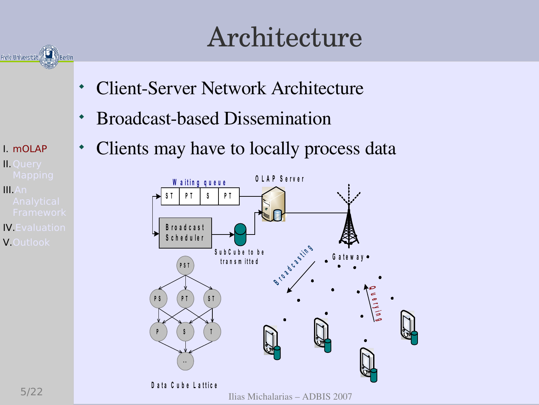## Architecture

- **Client-Server Network Architecture**
- **Broadcast-based Dissemination**
- Clients may have to locally process data



### I. mOLAP **II. Ouery**

Freie Universität

 $II.An$ 

**IV.** Evaluation V.Outlook

Ilias Michalarias - ADBIS 2007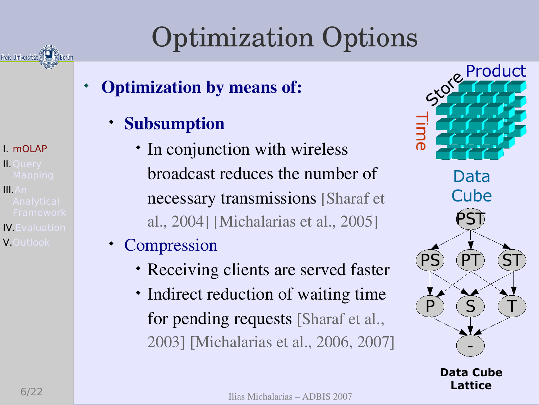Freie Universität

1. mOLAP **II. Ouerv** 

 $II.An$ **IV.** Evaluation V.Outlook

Optimization Options

- $\ddot{\bullet}$  Optimization by means of:
	- Subsumption
		- In conjunction with wireless broadcast reduces the number of necessary transmissions [Sharaf et al., 2004] [Michalarias et al., 2005]
	- Compression
		- Receiving clients are served faster
		- Indirect reduction of waiting time for pending requests [Sharaf et al., 2003] [Michalarias et al., 2006, 2007]



Data Cube Lattice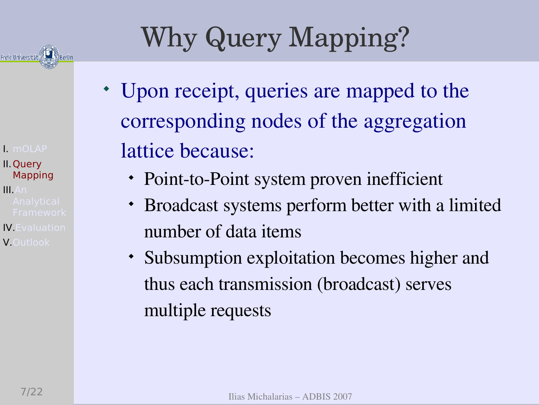

- 1. mOLAP II. Ouery Mapping
- $II.An$ **IV.** Evaluation V.Outlook

## Why Query Mapping?

- Upon receipt, queries are mapped to the corresponding nodes of the aggregation lattice because:
	- Point-to-Point system proven inefficient
	- $\blacklozenge$  Broadcast systems perform better with a limited number of data items
	- Subsumption exploitation becomes higher and thus each transmission (broadcast) serves multiple requests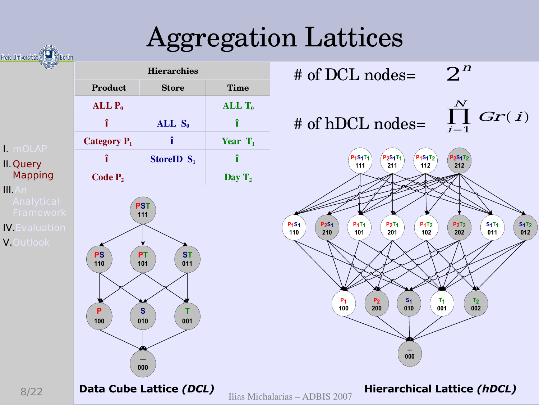## **Aggregation Lattices**

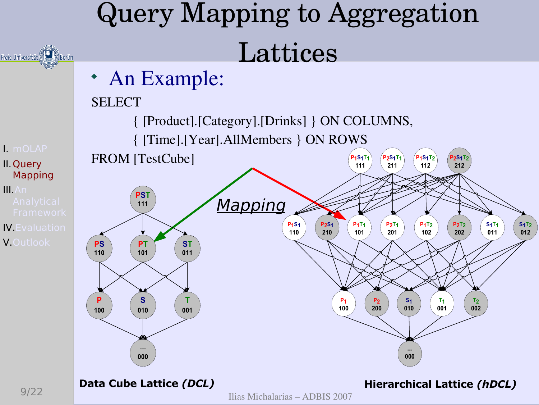#### Query Mapping to Aggregation Lattices Freie Universität • An Example: **SELECT** { [Product]. [Category]. [Drinks] } ON COLUMNS, { [Time]. [Year]. All Members } ON ROWS I. mOLAP **FROM** [TestCube]  $P<sub>2</sub>S<sub>1</sub>T<sub>1</sub>$  $P<sub>1</sub>S<sub>1</sub>T<sub>2</sub>$ 21S<sub>1</sub>T<sub>1</sub>  $P<sub>2</sub>S<sub>1</sub>T<sub>2</sub>$ II. Ouery 211 212 111 112 **Mapping**  $II.An$ **PST** Mapping 111  $\begin{array}{c} \text{S}_1 \text{T}_2 \\ \text{012} \end{array}$  $P_1S_1$  $P_2S_1$ <br>210  $P_1T_1$  $P_2T_1$  $P_1T_2$  $S_1T_1$  $P<sub>2</sub>T<sub>2</sub>$ **IV.** Evaluation 110 202 011 201 102 101 V.Outlook **ST PS PT** 110 101 011  $\mathbf{s}$  $\mathsf{P}$ T.  $P<sub>1</sub>$  $P<sub>2</sub>$  $S<sub>1</sub>$  $T<sub>1</sub>$  $T<sub>2</sub>$  $100$  $200$  $001$  $002$ 001 010 100 010 000 000 Data Cube Lattice (DCL) **Hierarchical Lattice (hDCL)**

Ilias Michalarias - ADBIS 2007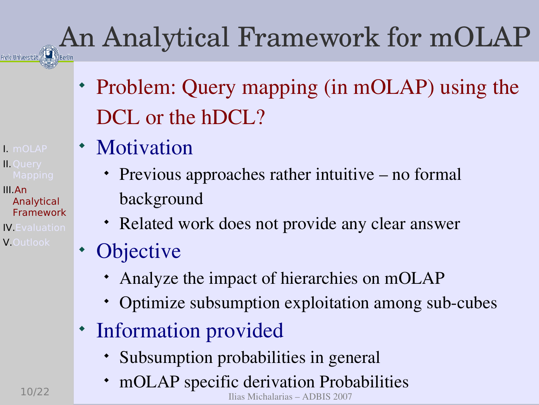# An Analytical Framework for mOLAP

- Problem: Query mapping (in mOLAP) using the DCL or the hDCL?
- Motivation
	- Previous approaches rather intuitive no formal background
	- Related work does not provide any clear answer
- Objective
	- Analyze the impact of hierarchies on mOLAP
	- Optimize subsumption exploitation among sub-cubes
- Information provided
	- Subsumption probabilities in general
	- mOLAP specific derivation Probabilities

Ilias Michalarias – ADBIS 2007

 $\blacksquare$  mOLAP **II. Ouerv** 

III An Analytical Framework **IV.** Evaluation

V.Outlook

10/22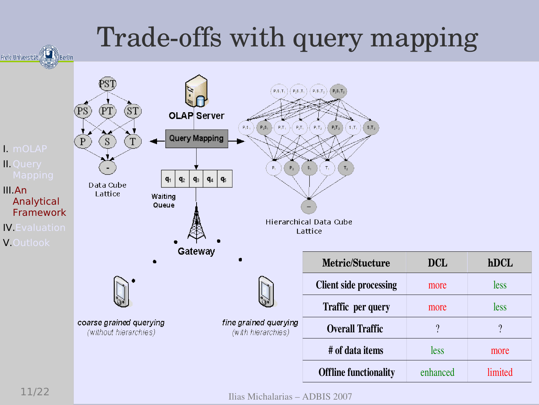## Trade-offs with query mapping



Ilias Michalarias - ADBIS 2007

hDCL

less

less

 $\gamma$ 

more

limited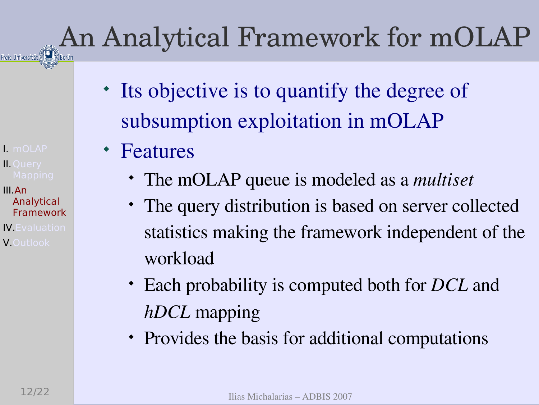# **An Analytical Framework for mOLAP**

1. mOLAP **II. Ouerv** 

III An Analytical Framework **IV.** Evaluation **V.**Outlook

- Its objective is to quantify the degree of subsumption exploitation in mOLAP
- Features
	- The mOLAP queue is modeled as a *multiset*
	- The query distribution is based on server collected statistics making the framework independent of the workload
	- Each probability is computed both for *DCL* and *hDCL* mapping
	- Provides the basis for additional computations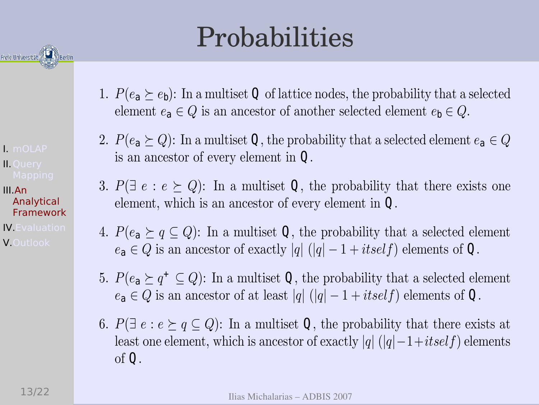

I. mOLAP **II. Ouery** 

III An Analytical Framework **IV.** Evaluation **V.Outlook** 

## Probabilities

- 1.  $P(e_{a} \succeq e_{b})$ : In a multiset Q of lattice nodes, the probability that a selected element  $e_{a} \in Q$  is an ancestor of another selected element  $e_{b} \in Q$ .
- 2.  $P(e_{a} \succeq Q)$ : In a multiset **Q**, the probability that a selected element  $e_{a} \in Q$ is an ancestor of every element in  $Q$ .
- 3.  $P(\exists e : e \succeq Q)$ : In a multiset **Q**, the probability that there exists one element, which is an ancestor of every element in  $Q$ .
- 4.  $P(e_{a} \succeq q \subseteq Q)$ : In a multiset **Q**, the probability that a selected element  $e_{a} \in Q$  is an ancestor of exactly |q| (|q| - 1 + itself) elements of **Q**.
- 5.  $P(e_{a} \succeq q^{+} \subseteq Q)$ : In a multiset **Q**, the probability that a selected element  $e_{a} \in Q$  is an ancestor of at least  $|q| (|q| - 1 + itself)$  elements of **Q**.
- 6.  $P(\exists e : e \succeq q \subseteq Q)$ : In a multiset **Q**, the probability that there exists at least one element, which is ancestor of exactly |q|  $(|q| - 1 + itself)$  elements of  $\mathbf{Q}$ .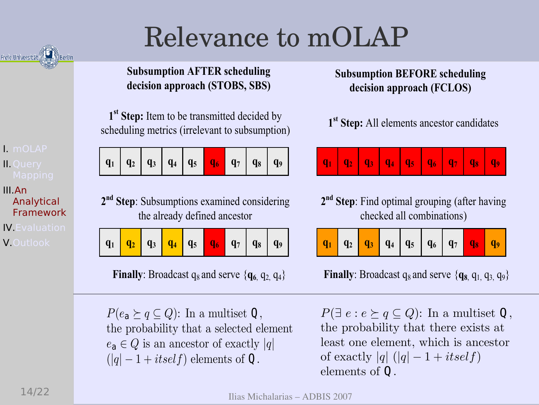## Relevance to mOLAP

**Subsumption AFTER scheduling** decision approach (STOBS, SBS)

1<sup>st</sup> Step: Item to be transmitted decided by scheduling metrics (irrelevant to subsumption)

| $  q_1   q_2   q_3   q_4   q_5   q_6   q_7   q_8   q_9  $ |  |  |  |  |  |  |  |  |
|-----------------------------------------------------------|--|--|--|--|--|--|--|--|
|-----------------------------------------------------------|--|--|--|--|--|--|--|--|

2<sup>nd</sup> Step: Subsumptions examined considering the already defined ancestor

**Finally:** Broadcast  $q_8$  and serve  $\{q_6, q_2, q_4\}$ 

 $P(e_{a} \succeq q \subseteq Q)$ : In a multiset **Q**, the probability that a selected element  $e_{a} \in Q$  is an ancestor of exactly |q|  $(|q| - 1 + itself)$  elements of Q.

**Subsumption BEFORE scheduling** decision approach (FCLOS)

1<sup>st</sup> Step: All elements ancestor candidates

2<sup>nd</sup> Step: Find optimal grouping (after having checked all combinations)

|--|

**Finally:** Broadcast  $q_8$  and serve  $\{q_{8}, q_1, q_3, q_9\}$ 

 $P(\exists e : e \succeq q \subseteq Q)$ : In a multiset **Q**, the probability that there exists at least one element, which is ancestor of exactly |q|  $(|q| - 1 + itself)$ elements of  $\mathbf 0$ .

Freie Universität

I. mOLAP

**II.** Ouerv

Analytical Framework

**IV.** Evaluation

V.Outlook

III An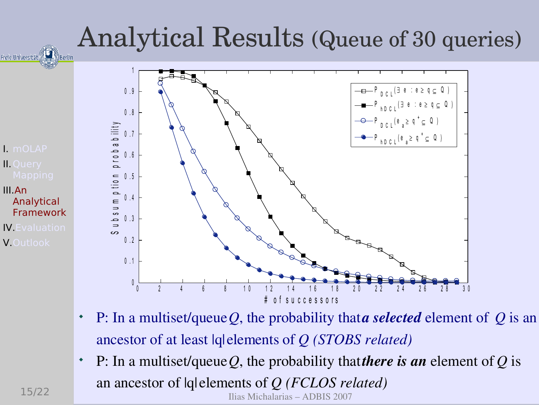

- $\bullet$  P: In a multiset/queue *Q*, the probability that *a selected* element of *Q* is an ancestor of at least |q| elements of *Q (STOBS related)*
- $\bullet$  P: In a multiset/queue *Q*, the probability that *there is an* element of *Q* is an ancestor of |q| elements of *Q (FCLOS related)*

Ilias Michalarias – ADBIS 2007

 $15/22$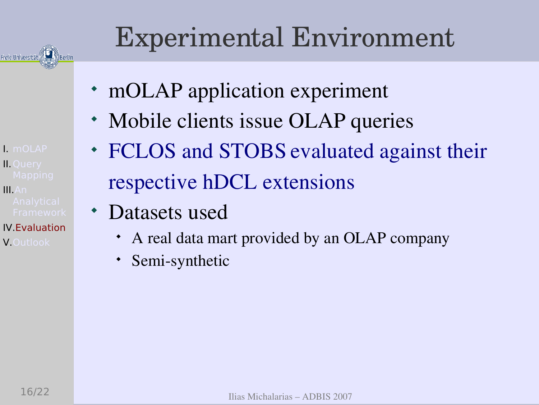

I. mOLAP

**II. Ouerv** 

**IV. Evaluation** 

V.Outlook

 $II.An$ 

Experimental Environment

- mOLAP application experiment
- Mobile clients issue OLAP queries
- FCLOS and STOBS evaluated against their respective hDCL extensions
- Datasets used
	- A real data mart provided by an OLAP company
	- Semi-synthetic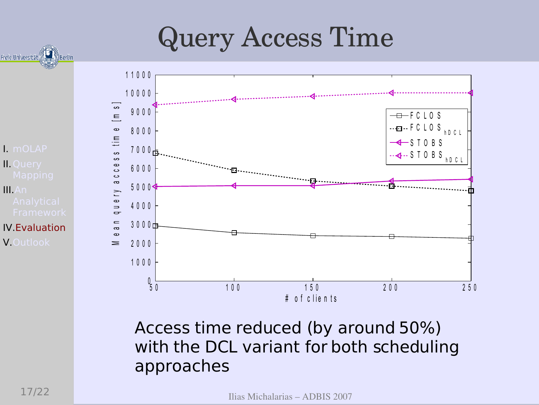## **Query Access Time**



11000

 $\overline{+}$  FCLOS  $\cdots$ ea $\cdots$ FCLOS  $h D C L$  $\leftarrow$  STOBS  $-$  - STOBS  $_{hDCL}$  $0, 1$  $100$  $150$  $200$  $250$ # of clients

Access time reduced (by around 50%) with the DCL variant for both scheduling approaches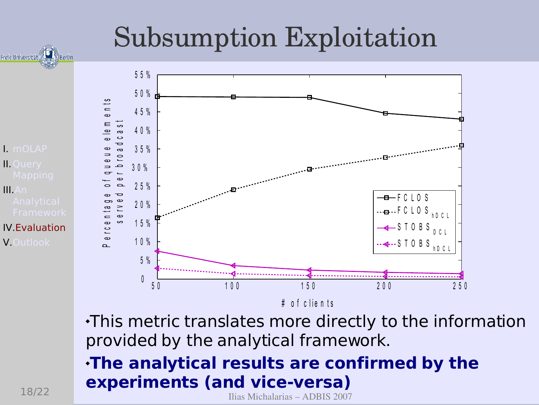## **Subsumption Exploitation**



This metric translates more directly to the information provided by the analytical framework.

The analytical results are confirmed by the experiments (and vice-versa)

Ilias Michalarias - ADBIS 2007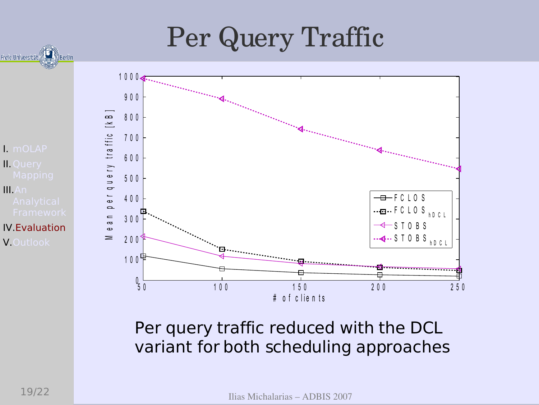## Per Query Traffic



Freie Universität



Per query traffic reduced with the DCL variant for both scheduling approaches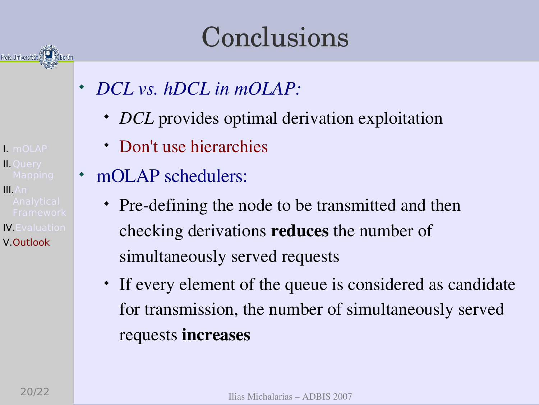## Conclusions

- *DCL vs. hDCL in mOLAP:*
	- *DCL* provides optimal derivation exploitation
	- Don't use hierarchies
- mOLAP schedulers:
	- Pre-defining the node to be transmitted and then checking derivations reduces the number of simultaneously served requests
	- If every element of the queue is considered as candidate for transmission, the number of simultaneously served requests increases

1. mOLAP **II. Ouerv** 

Freie Universität

 $II.An$ 

**IV.** Evaluation V.Outlook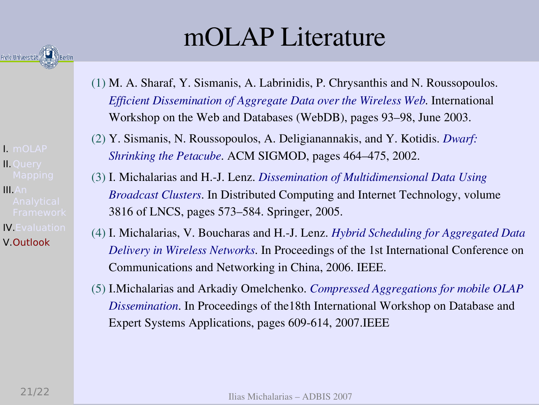

- $\blacksquare$  mOLAP **II. Ouerv**
- $II.An$ **IV.** Evaluation V.Outlook

## mOLAP Literature

- (1) M. A. Sharaf, Y. Sismanis, A. Labrinidis, P. Chrysanthis and N. Roussopoulos. *Efficient Dissemination of Aggregate Data over the Wireless Web*. International Workshop on the Web and Databases (WebDB), pages 93–98, June 2003.
- (2) Y. Sismanis, N. Roussopoulos, A. Deligianannakis, and Y. Kotidis. *Dwarf: Shrinking the Petacube*. ACM SIGMOD, pages 464–475, 2002.
- (3) I. Michalarias and H.-J. Lenz. *Dissemination of Multidimensional Data Using Broadcast Clusters*. In Distributed Computing and Internet Technology, volume 3816 of LNCS, pages 573–584. Springer, 2005.
- (4) I. Michalarias, V. Boucharas and H.-J. Lenz. *Hybrid Scheduling for Aggregated Data Delivery in Wireless Networks*. In Proceedings of the 1st International Conference on Communications and Networking in China, 2006. IEEE.
- (5) I.Michalarias and Arkadiy Omelchenko. *Compressed Aggregations for mobile OLAP Dissemination*. In Proceedings of the18th International Workshop on Database and Expert Systems Applications, pages 609-614, 2007.IEEE